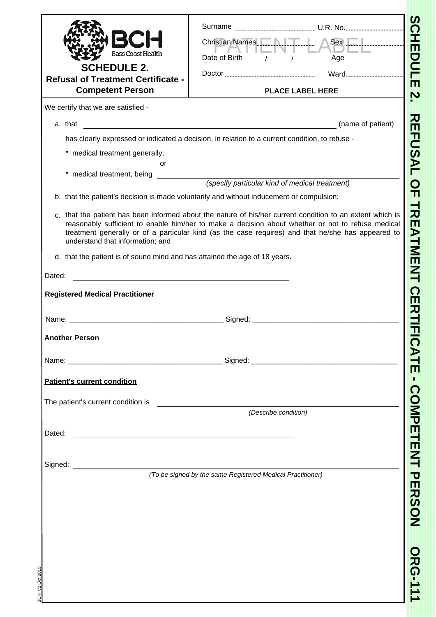| BC                                                                                                                                                                                                                            | Christian Names ENTLASEE                                                                                                                                                                                                                                                                                             |
|-------------------------------------------------------------------------------------------------------------------------------------------------------------------------------------------------------------------------------|----------------------------------------------------------------------------------------------------------------------------------------------------------------------------------------------------------------------------------------------------------------------------------------------------------------------|
| <b>Bass Coast Health</b><br><b>SCHEDULE 2.</b>                                                                                                                                                                                |                                                                                                                                                                                                                                                                                                                      |
| <b>Refusal of Treatment Certificate -</b>                                                                                                                                                                                     |                                                                                                                                                                                                                                                                                                                      |
| <b>Competent Person</b>                                                                                                                                                                                                       | <b>PLACE LABEL HERE</b>                                                                                                                                                                                                                                                                                              |
| We certify that we are satisfied -                                                                                                                                                                                            |                                                                                                                                                                                                                                                                                                                      |
| a. that                                                                                                                                                                                                                       | (name of patient)                                                                                                                                                                                                                                                                                                    |
|                                                                                                                                                                                                                               | has clearly expressed or indicated a decision, in relation to a current condition, to refuse -                                                                                                                                                                                                                       |
| * medical treatment generally;                                                                                                                                                                                                |                                                                                                                                                                                                                                                                                                                      |
| or<br>* medical treatment, being                                                                                                                                                                                              |                                                                                                                                                                                                                                                                                                                      |
|                                                                                                                                                                                                                               | (specify particular kind of medical treatment)                                                                                                                                                                                                                                                                       |
|                                                                                                                                                                                                                               | b. that the patient's decision is made voluntarily and without inducement or compulsion;                                                                                                                                                                                                                             |
| understand that information; and                                                                                                                                                                                              | c. that the patient has been informed about the nature of his/her current condition to an extent which is<br>reasonably sufficient to enable him/her to make a decision about whether or not to refuse medical<br>treatment generally or of a particular kind (as the case requires) and that he/she has appeared to |
| d. that the patient is of sound mind and has attained the age of 18 years.                                                                                                                                                    |                                                                                                                                                                                                                                                                                                                      |
| Dated:                                                                                                                                                                                                                        |                                                                                                                                                                                                                                                                                                                      |
| <b>Registered Medical Practitioner</b>                                                                                                                                                                                        |                                                                                                                                                                                                                                                                                                                      |
|                                                                                                                                                                                                                               |                                                                                                                                                                                                                                                                                                                      |
| Name: Signed: Signed: Signed: Signed: Signed: Signed: Signed: Signed: Signed: Signed: Signed: Signed: Signed: Signed: Signed: Signed: Signed: Signed: Signed: Signed: Signed: Signed: Signed: Signed: Signed: Signed: Signed: |                                                                                                                                                                                                                                                                                                                      |
| <b>Another Person</b>                                                                                                                                                                                                         |                                                                                                                                                                                                                                                                                                                      |
|                                                                                                                                                                                                                               |                                                                                                                                                                                                                                                                                                                      |
|                                                                                                                                                                                                                               |                                                                                                                                                                                                                                                                                                                      |
| <b>Patient's current condition</b>                                                                                                                                                                                            |                                                                                                                                                                                                                                                                                                                      |
| The patient's current condition is                                                                                                                                                                                            |                                                                                                                                                                                                                                                                                                                      |
|                                                                                                                                                                                                                               | (Describe condition)                                                                                                                                                                                                                                                                                                 |
|                                                                                                                                                                                                                               |                                                                                                                                                                                                                                                                                                                      |
| Dated:<br><u> 1989 - Johann Stein, mars an deus Amerikaansk kommunister (</u>                                                                                                                                                 |                                                                                                                                                                                                                                                                                                                      |
|                                                                                                                                                                                                                               |                                                                                                                                                                                                                                                                                                                      |
| Signed:                                                                                                                                                                                                                       | (To be signed by the same Registered Medical Practitioner)                                                                                                                                                                                                                                                           |
|                                                                                                                                                                                                                               |                                                                                                                                                                                                                                                                                                                      |
|                                                                                                                                                                                                                               |                                                                                                                                                                                                                                                                                                                      |
|                                                                                                                                                                                                                               |                                                                                                                                                                                                                                                                                                                      |
|                                                                                                                                                                                                                               |                                                                                                                                                                                                                                                                                                                      |
|                                                                                                                                                                                                                               |                                                                                                                                                                                                                                                                                                                      |
|                                                                                                                                                                                                                               |                                                                                                                                                                                                                                                                                                                      |
|                                                                                                                                                                                                                               |                                                                                                                                                                                                                                                                                                                      |
|                                                                                                                                                                                                                               |                                                                                                                                                                                                                                                                                                                      |
|                                                                                                                                                                                                                               |                                                                                                                                                                                                                                                                                                                      |